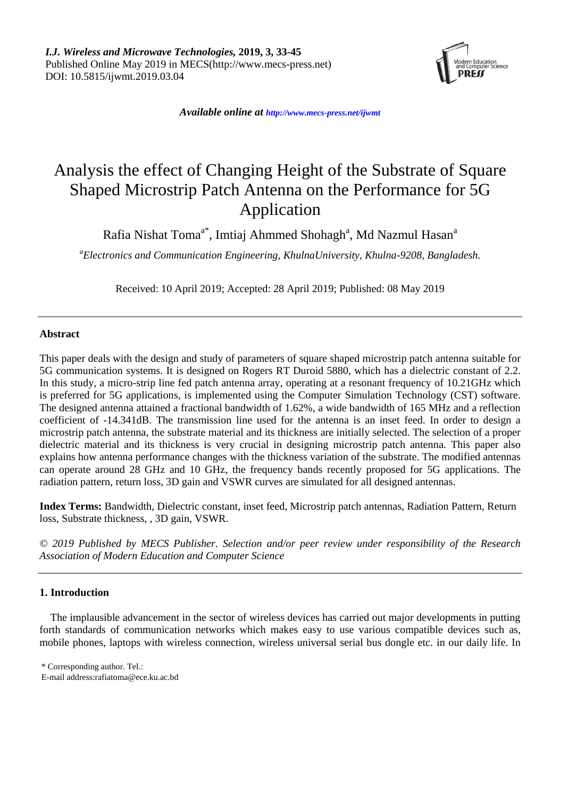

*Available online at <http://www.mecs-press.net/ijwmt>*

# Analysis the effect of Changing Height of the Substrate of Square Shaped Microstrip Patch Antenna on the Performance for 5G Application

Rafia Nishat Toma<sup>a\*</sup>, Imtiaj Ahmmed Shohagh<sup>a</sup>, Md Nazmul Hasan<sup>a</sup>

*<sup>a</sup>Electronics and Communication Engineering, KhulnaUniversity, Khulna-9208, Bangladesh.* 

Received: 10 April 2019; Accepted: 28 April 2019; Published: 08 May 2019

## **Abstract**

This paper deals with the design and study of parameters of square shaped microstrip patch antenna suitable for 5G communication systems. It is designed on Rogers RT Duroid 5880, which has a dielectric constant of 2.2. In this study, a micro-strip line fed patch antenna array, operating at a resonant frequency of 10.21GHz which is preferred for 5G applications, is implemented using the Computer Simulation Technology (CST) software. The designed antenna attained a fractional bandwidth of 1.62%, a wide bandwidth of 165 MHz and a reflection coefficient of -14.341dB. The transmission line used for the antenna is an inset feed. In order to design a microstrip patch antenna, the substrate material and its thickness are initially selected. The selection of a proper dielectric material and its thickness is very crucial in designing microstrip patch antenna. This paper also explains how antenna performance changes with the thickness variation of the substrate. The modified antennas can operate around 28 GHz and 10 GHz, the frequency bands recently proposed for 5G applications. The radiation pattern, return loss, 3D gain and VSWR curves are simulated for all designed antennas.

**Index Terms:** Bandwidth, Dielectric constant, inset feed, Microstrip patch antennas, Radiation Pattern, Return loss, Substrate thickness, , 3D gain, VSWR.

*© 2019 Published by MECS Publisher. Selection and/or peer review under responsibility of the Research Association of Modern Education and Computer Science*

## **1. Introduction**

The implausible advancement in the sector of wireless devices has carried out major developments in putting forth standards of communication networks which makes easy to use various compatible devices such as, mobile phones, laptops with wireless connection, wireless universal serial bus dongle etc. in our daily life. In

<sup>\*</sup> Corresponding author. Tel.:

E-mail address:rafiatoma@ece.ku.ac.bd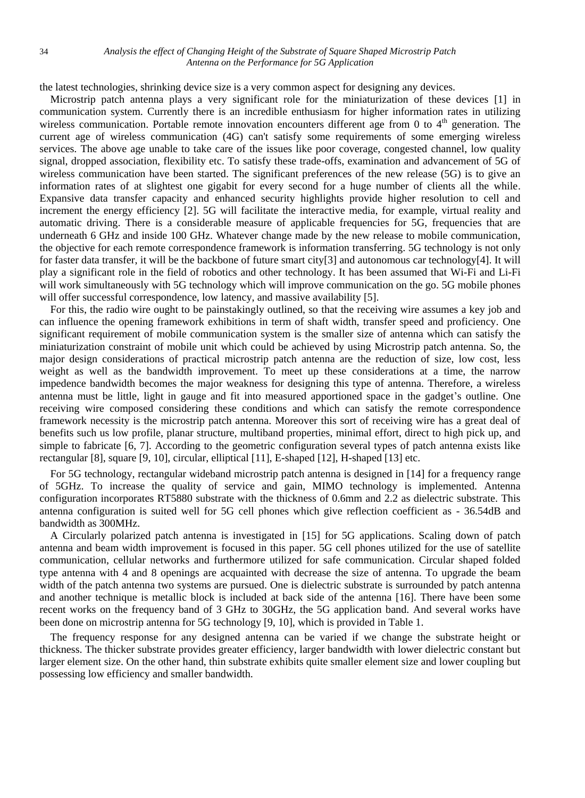the latest technologies, shrinking device size is a very common aspect for designing any devices.

Microstrip patch antenna plays a very significant role for the miniaturization of these devices [1] in communication system. Currently there is an incredible enthusiasm for higher information rates in utilizing wireless communication. Portable remote innovation encounters different age from 0 to  $4<sup>th</sup>$  generation. The current age of wireless communication (4G) can't satisfy some requirements of some emerging wireless services. The above age unable to take care of the issues like poor coverage, congested channel, low quality signal, dropped association, flexibility etc. To satisfy these trade-offs, examination and advancement of 5G of wireless communication have been started. The significant preferences of the new release (5G) is to give an information rates of at slightest one gigabit for every second for a huge number of clients all the while. Expansive data transfer capacity and enhanced security highlights provide higher resolution to cell and increment the energy efficiency [2]. 5G will facilitate the interactive media, for example, virtual reality and automatic driving. There is a considerable measure of applicable frequencies for 5G, frequencies that are underneath 6 GHz and inside 100 GHz. Whatever change made by the new release to mobile communication, the objective for each remote correspondence framework is information transferring. 5G technology is not only for faster data transfer, it will be the backbone of future smart city[3] and autonomous car technology[4]. It will play a significant role in the field of robotics and other technology. It has been assumed that Wi-Fi and Li-Fi will work simultaneously with 5G technology which will improve communication on the go. 5G mobile phones will offer successful correspondence, low latency, and massive availability [5].

For this, the radio wire ought to be painstakingly outlined, so that the receiving wire assumes a key job and can influence the opening framework exhibitions in term of shaft width, transfer speed and proficiency. One significant requirement of mobile communication system is the smaller size of antenna which can satisfy the miniaturization constraint of mobile unit which could be achieved by using Microstrip patch antenna. So, the major design considerations of practical microstrip patch antenna are the reduction of size, low cost, less weight as well as the bandwidth improvement. To meet up these considerations at a time, the narrow impedence bandwidth becomes the major weakness for designing this type of antenna. Therefore, a wireless antenna must be little, light in gauge and fit into measured apportioned space in the gadget's outline. One receiving wire composed considering these conditions and which can satisfy the remote correspondence framework necessity is the microstrip patch antenna. Moreover this sort of receiving wire has a great deal of benefits such us low profile, planar structure, multiband properties, minimal effort, direct to high pick up, and simple to fabricate [6, 7]. According to the geometric configuration several types of patch antenna exists like rectangular [8], square [9, 10], circular, elliptical [11], E-shaped [12], H-shaped [13] etc.

For 5G technology, rectangular wideband microstrip patch antenna is designed in [14] for a frequency range of 5GHz. To increase the quality of service and gain, MIMO technology is implemented. Antenna configuration incorporates RT5880 substrate with the thickness of 0.6mm and 2.2 as dielectric substrate. This antenna configuration is suited well for 5G cell phones which give reflection coefficient as - 36.54dB and bandwidth as 300MHz.

A Circularly polarized patch antenna is investigated in [15] for 5G applications. Scaling down of patch antenna and beam width improvement is focused in this paper. 5G cell phones utilized for the use of satellite communication, cellular networks and furthermore utilized for safe communication. Circular shaped folded type antenna with 4 and 8 openings are acquainted with decrease the size of antenna. To upgrade the beam width of the patch antenna two systems are pursued. One is dielectric substrate is surrounded by patch antenna and another technique is metallic block is included at back side of the antenna [16]. There have been some recent works on the frequency band of 3 GHz to 30GHz, the 5G application band. And several works have been done on microstrip antenna for 5G technology [9, 10], which is provided in Table 1.

The frequency response for any designed antenna can be varied if we change the substrate height or thickness. The thicker substrate provides greater efficiency, larger bandwidth with lower dielectric constant but larger element size. On the other hand, thin substrate exhibits quite smaller element size and lower coupling but possessing low efficiency and smaller bandwidth.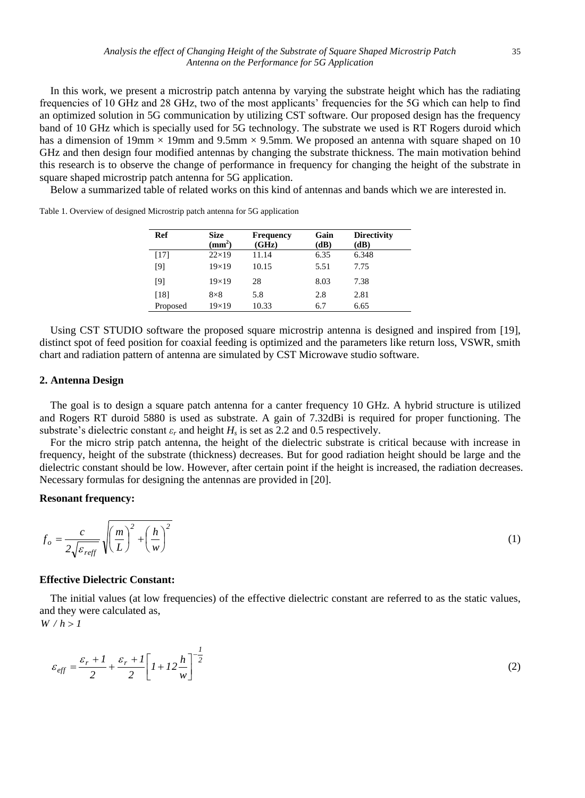In this work, we present a microstrip patch antenna by varying the substrate height which has the radiating frequencies of 10 GHz and 28 GHz, two of the most applicants' frequencies for the 5G which can help to find an optimized solution in 5G communication by utilizing CST software. Our proposed design has the frequency band of 10 GHz which is specially used for 5G technology. The substrate we used is RT Rogers duroid which has a dimension of 19mm  $\times$  19mm and 9.5mm  $\times$  9.5mm. We proposed an antenna with square shaped on 10 GHz and then design four modified antennas by changing the substrate thickness. The main motivation behind this research is to observe the change of performance in frequency for changing the height of the substrate in square shaped microstrip patch antenna for 5G application.

Below a summarized table of related works on this kind of antennas and bands which we are interested in.

| Ref      | <b>Size</b><br>$\textbf{(mm}^2)$ | <b>Frequency</b><br>(GHz) | Gain<br>(dB) | <b>Directivity</b><br>(dB) |
|----------|----------------------------------|---------------------------|--------------|----------------------------|
| $[17]$   | $22\times19$                     | 11.14                     | 6.35         | 6.348                      |
| [9]      | $19\times19$                     | 10.15                     | 5.51         | 7.75                       |
| [9]      | $19\times19$                     | 28                        | 8.03         | 7.38                       |
| [18]     | $8\times8$                       | 5.8                       | 2.8          | 2.81                       |
| Proposed | $19\times19$                     | 10.33                     | 6.7          | 6.65                       |

Table 1. Overview of designed Microstrip patch antenna for 5G application

Using CST STUDIO software the proposed square microstrip antenna is designed and inspired from [19], distinct spot of feed position for coaxial feeding is optimized and the parameters like return loss, VSWR, smith chart and radiation pattern of antenna are simulated by CST Microwave studio software.

## **2. Antenna Design**

The goal is to design a square patch antenna for a canter frequency 10 GHz. A hybrid structure is utilized and Rogers RT duroid 5880 is used as substrate. A gain of 7.32dBi is required for proper functioning. The substrate's dielectric constant  $\varepsilon_r$  and height  $H_s$  is set as 2.2 and 0.5 respectively.

For the micro strip patch antenna, the height of the dielectric substrate is critical because with increase in frequency, height of the substrate (thickness) decreases. But for good radiation height should be large and the dielectric constant should be low. However, after certain point if the height is increased, the radiation decreases. Necessary formulas for designing the antennas are provided in [20].

## **Resonant frequency:**

$$
f_o = \frac{c}{2\sqrt{\varepsilon_{\text{reff}}}} \sqrt{\left(\frac{m}{L}\right)^2 + \left(\frac{h}{w}\right)^2} \tag{1}
$$

#### **Effective Dielectric Constant:**

The initial values (at low frequencies) of the effective dielectric constant are referred to as the static values, and they were calculated as,

 $W/h > 1$ 

$$
\varepsilon_{eff} = \frac{\varepsilon_r + l}{2} + \frac{\varepsilon_r + l}{2} \left[ l + l \frac{h}{w} \right]^{-\frac{l}{2}}
$$
\n<sup>(2)</sup>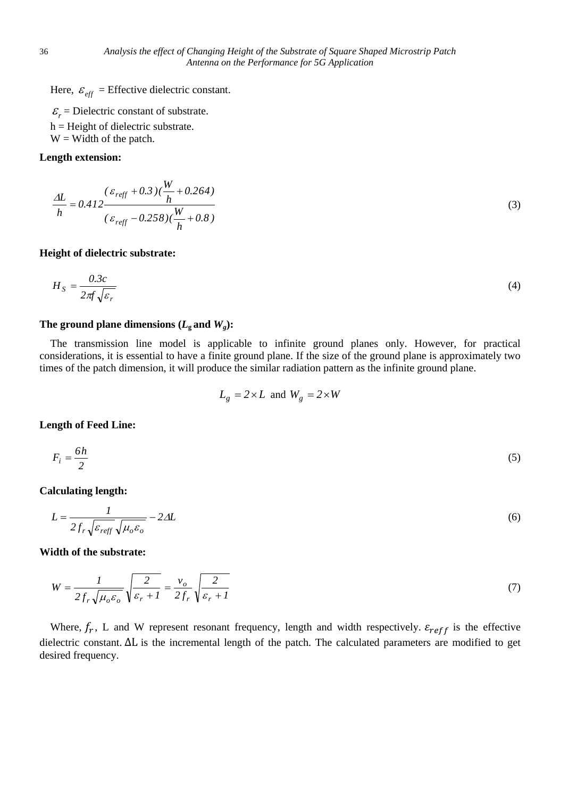Here,  $\varepsilon_{\text{eff}}$  = Effective dielectric constant.

 $\mathcal{E}_r$  = Dielectric constant of substrate.  $h =$  Height of dielectric substrate.

 $W =$  Width of the patch.

## **Length extension:**

$$
\frac{\Delta L}{h} = 0.412 \frac{(\varepsilon_{reff} + 0.3)(\frac{W}{h} + 0.264)}{(\varepsilon_{reff} - 0.258)(\frac{W}{h} + 0.8)}
$$
\n(3)

## **Height of dielectric substrate:**

$$
H_S = \frac{0.3c}{2\pi f \sqrt{\varepsilon_r}}\tag{4}
$$

## The ground plane dimensions  $(L_{\rm g}$  and  $W_{\rm g})$ :

The transmission line model is applicable to infinite ground planes only. However, for practical considerations, it is essential to have a finite ground plane. If the size of the ground plane is approximately two times of the patch dimension, it will produce the similar radiation pattern as the infinite ground plane.

$$
L_g = 2 \times L \text{ and } W_g = 2 \times W
$$

## **Length of Feed Line:**

$$
F_i = \frac{6h}{2} \tag{5}
$$

**Calculating length:**

$$
L = \frac{1}{2f_r\sqrt{\varepsilon_{\text{reff}}}\sqrt{\mu_o\varepsilon_o}} - 2\Delta L\tag{6}
$$

**Width of the substrate:**

$$
W = \frac{1}{2f_r\sqrt{\mu_o \varepsilon_o}}\sqrt{\frac{2}{\varepsilon_r + 1}} = \frac{v_o}{2f_r}\sqrt{\frac{2}{\varepsilon_r + 1}}
$$
(7)

Where,  $f_r$ , L and W represent resonant frequency, length and width respectively.  $\varepsilon_{reff}$  is the effective dielectric constant. ∆L is the incremental length of the patch. The calculated parameters are modified to get desired frequency.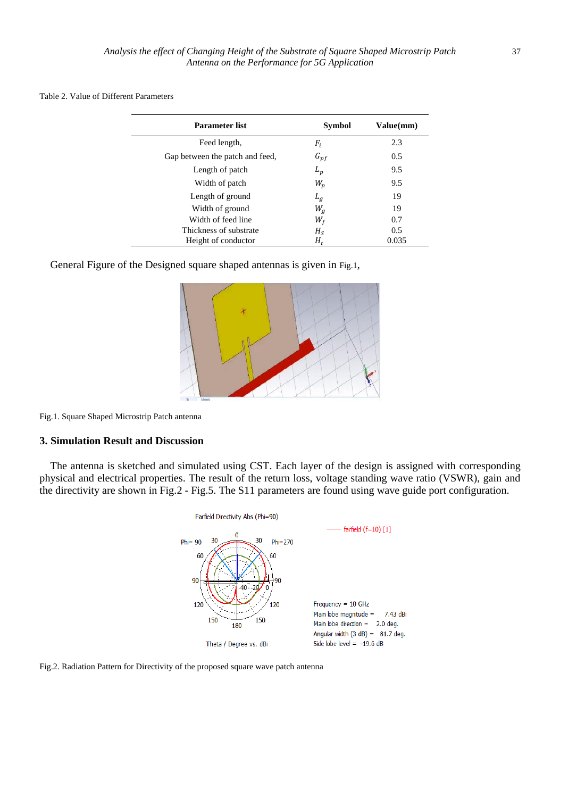| Table 2. Value of Different Parameters |  |
|----------------------------------------|--|
|----------------------------------------|--|

| <b>Parameter list</b>           | Symbol   | Value(mm) |
|---------------------------------|----------|-----------|
| Feed length,                    | $F_i$    | 2.3       |
| Gap between the patch and feed, | $G_{pf}$ | 0.5       |
| Length of patch                 | $L_p$    | 9.5       |
| Width of patch                  | $W_p$    | 9.5       |
| Length of ground                | $L_g$    | 19        |
| Width of ground                 | $W_a$    | 19        |
| Width of feed line              | $W_f$    | 0.7       |
| Thickness of substrate          | $H_{S}$  | 0.5       |
| Height of conductor             | H,       | 0.035     |

General Figure of the Designed square shaped antennas is given in [Fig.1](#page-4-0),



<span id="page-4-0"></span>Fig.1. Square Shaped Microstrip Patch antenna

## **3. Simulation Result and Discussion**

The antenna is sketched and simulated using CST. Each layer of the design is assigned with corresponding physical and electrical properties. The result of the return loss, voltage standing wave ratio (VSWR), gain and the directivity are shown in Fig.2 - Fig.5. The S11 parameters are found using wave guide port configuration.



Fig.2. Radiation Pattern for Directivity of the proposed square wave patch antenna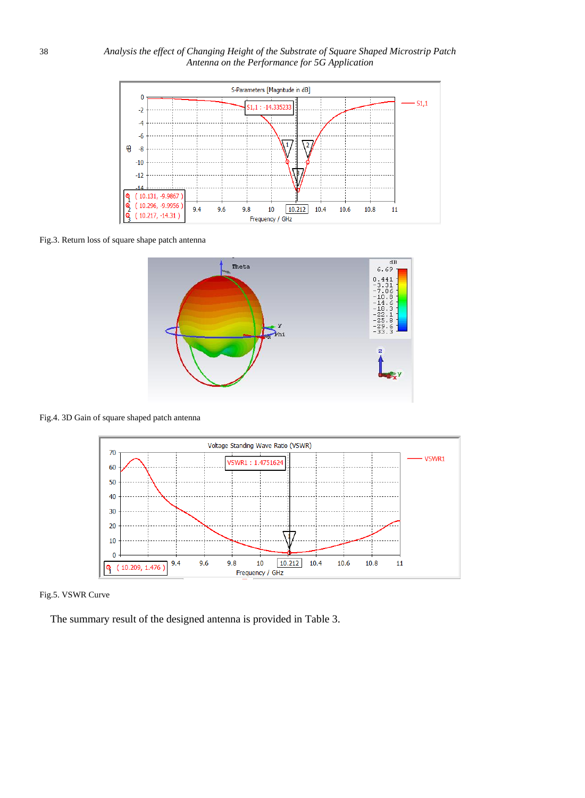

Fig.3. Return loss of square shape patch antenna



Fig.4. 3D Gain of square shaped patch antenna





The summary result of the designed antenna is provided in Table 3.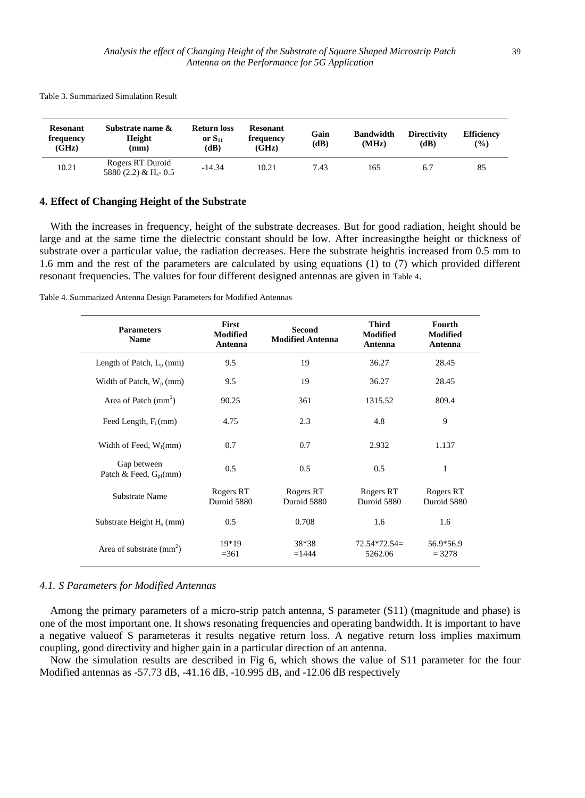**Resonant frequency (GHz) Substrate name & Height (mm) Return loss or S<sup>11</sup> (dB) Resonant frequency (GHz) Gain (dB) Bandwidth (MHz) Directivity (dB) Efficiency (%)**  $\text{Rogers RT Duroid}$ <br>10.21  $\text{F}^{0.00}_{2.000}$ 5880 (2.2) & H<sub>s</sub>- 0.5 -14.34 10.21 7.43 165 6.7 85

Table 3. Summarized Simulation Result

#### **4. Effect of Changing Height of the Substrate**

With the increases in frequency, height of the substrate decreases. But for good radiation, height should be large and at the same time the dielectric constant should be low. After increasingthe height or thickness of substrate over a particular value, the radiation decreases. Here the substrate heightis increased from 0.5 mm to 1.6 mm and the rest of the parameters are calculated by using equations (1) to (7) which provided different resonant frequencies. The values for four different designed antennas are given in [Table 4](#page-6-0).

<span id="page-6-0"></span>Table 4. Summarized Antenna Design Parameters for Modified Antennas

| <b>Parameters</b><br><b>Name</b>                 | First<br><b>Modified</b><br>Antenna | <b>Second</b><br><b>Modified Antenna</b> | <b>Third</b><br><b>Modified</b><br>Antenna | Fourth<br><b>Modified</b><br>Antenna |
|--------------------------------------------------|-------------------------------------|------------------------------------------|--------------------------------------------|--------------------------------------|
| Length of Patch, $L_p$ (mm)                      | 9.5                                 | 19                                       | 36.27                                      | 28.45                                |
| Width of Patch, $W_p$ (mm)                       | 9.5                                 | 19                                       | 36.27                                      | 28.45                                |
| Area of Patch $\text{ (mm}^2)$                   | 90.25                               | 361                                      | 1315.52                                    | 809.4                                |
| Feed Length, $F_i$ (mm)                          | 4.75                                | 2.3                                      | 4.8                                        | 9                                    |
| Width of Feed, $W_f$ (mm)                        | 0.7                                 | 0.7                                      | 2.932                                      | 1.137                                |
| Gap between<br>Patch & Feed, $G_{\text{nf}}(mm)$ | 0.5                                 | 0.5                                      | 0.5                                        | $\mathbf{1}$                         |
| Substrate Name                                   | Rogers RT<br>Duroid 5880            | Rogers RT<br>Duroid 5880                 | Rogers RT<br>Duroid 5880                   | Rogers RT<br>Duroid 5880             |
| Substrate Height $H_s$ (mm)                      | 0.5                                 | 0.708                                    | 1.6                                        | 1.6                                  |
| Area of substrate $(mm2)$                        | 19*19<br>$= 361$                    | 38*38<br>$=1444$                         | $72.54*72.54=$<br>5262.06                  | 56.9*56.9<br>$= 3278$                |

#### *4.1. S Parameters for Modified Antennas*

Among the primary parameters of a micro-strip patch antenna, S parameter (S11) (magnitude and phase) is one of the most important one. It shows resonating frequencies and operating bandwidth. It is important to have a negative valueof S parameteras it results negative return loss. A negative return loss implies maximum coupling, good directivity and higher gain in a particular direction of an antenna.

Now the simulation results are described in Fig 6, which shows the value of S11 parameter for the four Modified antennas as -57.73 dB, -41.16 dB, -10.995 dB, and -12.06 dB respectively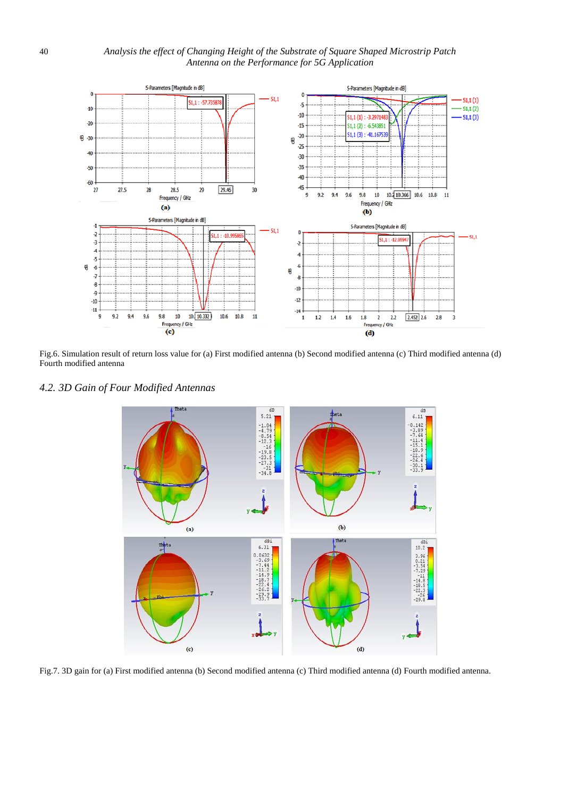

Fig.6. Simulation result of return loss value for (a) First modified antenna (b) Second modified antenna (c) Third modified antenna (d) Fourth modified antenna

*4.2. 3D Gain of Four Modified Antennas*



Fig.7. 3D gain for (a) First modified antenna (b) Second modified antenna (c) Third modified antenna (d) Fourth modified antenna.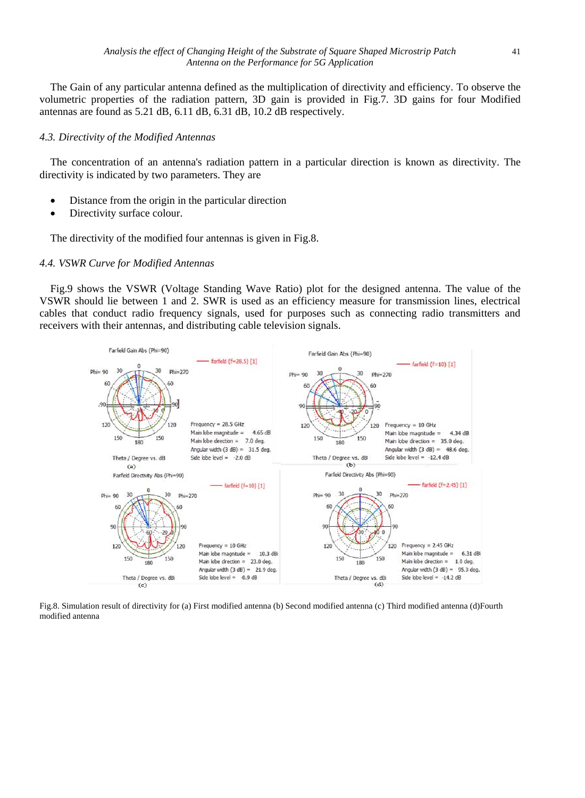The Gain of any particular antenna defined as the multiplication of directivity and efficiency. To observe the volumetric properties of the radiation pattern, 3D gain is provided in Fig.7. 3D gains for four Modified antennas are found as 5.21 dB, 6.11 dB, 6.31 dB, 10.2 dB respectively.

#### *4.3. Directivity of the Modified Antennas*

The concentration of an antenna's radiation pattern in a particular direction is known as directivity. The directivity is indicated by two parameters. They are

- Distance from the origin in the particular direction
- Directivity surface colour.

The directivity of the modified four antennas is given i[n Fig.8.](#page-8-0)

#### *4.4. VSWR Curve for Modified Antennas*

[Fig.9](#page-9-0) shows the VSWR (Voltage Standing Wave Ratio) plot for the designed antenna. The value of the VSWR should lie between 1 and 2. SWR is used as an efficiency measure for transmission lines, electrical cables that conduct radio frequency signals, used for purposes such as connecting radio transmitters and receivers with their antennas, and distributing cable television signals.



<span id="page-8-0"></span>Fig.8. Simulation result of directivity for (a) First modified antenna (b) Second modified antenna (c) Third modified antenna (d)Fourth modified antenna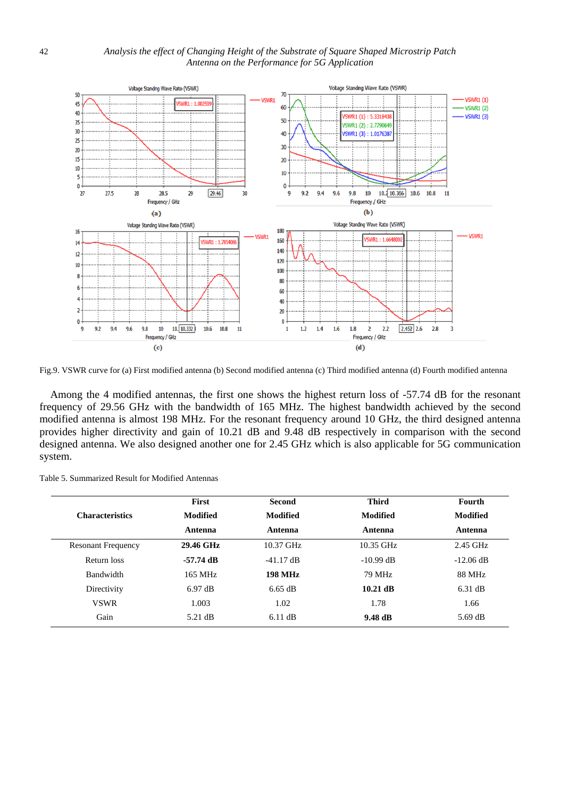

<span id="page-9-0"></span>Fig.9. VSWR curve for (a) First modified antenna (b) Second modified antenna (c) Third modified antenna (d) Fourth modified antenna

Among the 4 modified antennas, the first one shows the highest return loss of -57.74 dB for the resonant frequency of 29.56 GHz with the bandwidth of 165 MHz. The highest bandwidth achieved by the second modified antenna is almost 198 MHz. For the resonant frequency around 10 GHz, the third designed antenna provides higher directivity and gain of 10.21 dB and 9.48 dB respectively in comparison with the second designed antenna. We also designed another one for 2.45 GHz which is also applicable for 5G communication system.

|                           | First             | <b>Second</b>   | <b>Third</b> | Fourth          |
|---------------------------|-------------------|-----------------|--------------|-----------------|
| <b>Characteristics</b>    | Modified          | <b>Modified</b> | Modified     | <b>Modified</b> |
|                           | Antenna           | Antenna         | Antenna      | Antenna         |
| <b>Resonant Frequency</b> | 29.46 GHz         | $10.37$ GHz     | $10.35$ GHz  | $2.45$ GHz      |
| Return loss               | -57.74 dB         | $-41.17$ dB     | $-10.99$ dB  | $-12.06$ dB     |
| <b>Bandwidth</b>          | 165 MHz           | <b>198 MHz</b>  | 79 MHz       | 88 MHz          |
| Directivity               | $6.97 \text{ dB}$ | $6.65$ dB       | $10.21$ dB   | $6.31$ dB       |
| <b>VSWR</b>               | 1.003             | 1.02            | 1.78         | 1.66            |
| Gain                      | $5.21$ dB         | $6.11$ dB       | 9.48 dB      | 5.69 dB         |

Table 5. Summarized Result for Modified Antennas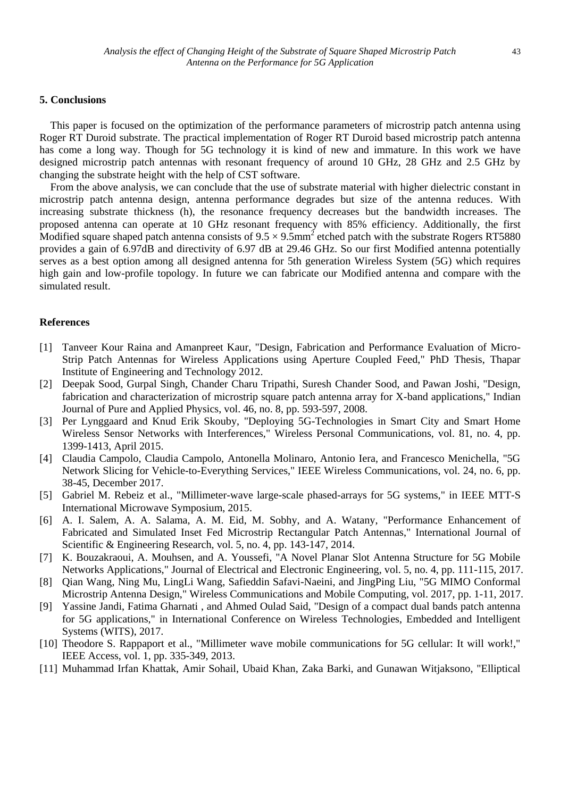#### **5. Conclusions**

This paper is focused on the optimization of the performance parameters of microstrip patch antenna using Roger RT Duroid substrate. The practical implementation of Roger RT Duroid based microstrip patch antenna has come a long way. Though for 5G technology it is kind of new and immature. In this work we have designed microstrip patch antennas with resonant frequency of around 10 GHz, 28 GHz and 2.5 GHz by changing the substrate height with the help of CST software.

From the above analysis, we can conclude that the use of substrate material with higher dielectric constant in microstrip patch antenna design, antenna performance degrades but size of the antenna reduces. With increasing substrate thickness (h), the resonance frequency decreases but the bandwidth increases. The proposed antenna can operate at 10 GHz resonant frequency with 85% efficiency. Additionally, the first Modified square shaped patch antenna consists of  $9.5 \times 9.5$ mm<sup>2</sup> etched patch with the substrate Rogers RT5880 provides a gain of 6.97dB and directivity of 6.97 dB at 29.46 GHz. So our first Modified antenna potentially serves as a best option among all designed antenna for 5th generation Wireless System (5G) which requires high gain and low-profile topology. In future we can fabricate our Modified antenna and compare with the simulated result.

## **References**

- [1] Tanveer Kour Raina and Amanpreet Kaur, "Design, Fabrication and Performance Evaluation of Micro-Strip Patch Antennas for Wireless Applications using Aperture Coupled Feed," PhD Thesis, Thapar Institute of Engineering and Technology 2012.
- [2] Deepak Sood, Gurpal Singh, Chander Charu Tripathi, Suresh Chander Sood, and Pawan Joshi, "Design, fabrication and characterization of microstrip square patch antenna array for X-band applications," Indian Journal of Pure and Applied Physics, vol. 46, no. 8, pp. 593-597, 2008.
- [3] Per Lynggaard and Knud Erik Skouby, "Deploying 5G-Technologies in Smart City and Smart Home Wireless Sensor Networks with Interferences," Wireless Personal Communications, vol. 81, no. 4, pp. 1399-1413, April 2015.
- [4] Claudia Campolo, Claudia Campolo, Antonella Molinaro, Antonio Iera, and Francesco Menichella, "5G Network Slicing for Vehicle-to-Everything Services," IEEE Wireless Communications, vol. 24, no. 6, pp. 38-45, December 2017.
- [5] Gabriel M. Rebeiz et al., "Millimeter-wave large-scale phased-arrays for 5G systems," in IEEE MTT-S International Microwave Symposium, 2015.
- [6] A. I. Salem, A. A. Salama, A. M. Eid, M. Sobhy, and A. Watany, "Performance Enhancement of Fabricated and Simulated Inset Fed Microstrip Rectangular Patch Antennas," International Journal of Scientific & Engineering Research, vol. 5, no. 4, pp. 143-147, 2014.
- [7] K. Bouzakraoui, A. Mouhsen, and A. Youssefi, "A Novel Planar Slot Antenna Structure for 5G Mobile Networks Applications," Journal of Electrical and Electronic Engineering, vol. 5, no. 4, pp. 111-115, 2017.
- [8] Qian Wang, Ning Mu, LingLi Wang, Safieddin Safavi-Naeini, and JingPing Liu, "5G MIMO Conformal Microstrip Antenna Design," Wireless Communications and Mobile Computing, vol. 2017, pp. 1-11, 2017.
- [9] Yassine Jandi, Fatima Gharnati , and Ahmed Oulad Said, "Design of a compact dual bands patch antenna for 5G applications," in International Conference on Wireless Technologies, Embedded and Intelligent Systems (WITS), 2017.
- [10] Theodore S. Rappaport et al., "Millimeter wave mobile communications for 5G cellular: It will work!," IEEE Access, vol. 1, pp. 335-349, 2013.
- [11] Muhammad Irfan Khattak, Amir Sohail, Ubaid Khan, Zaka Barki, and Gunawan Witjaksono, "Elliptical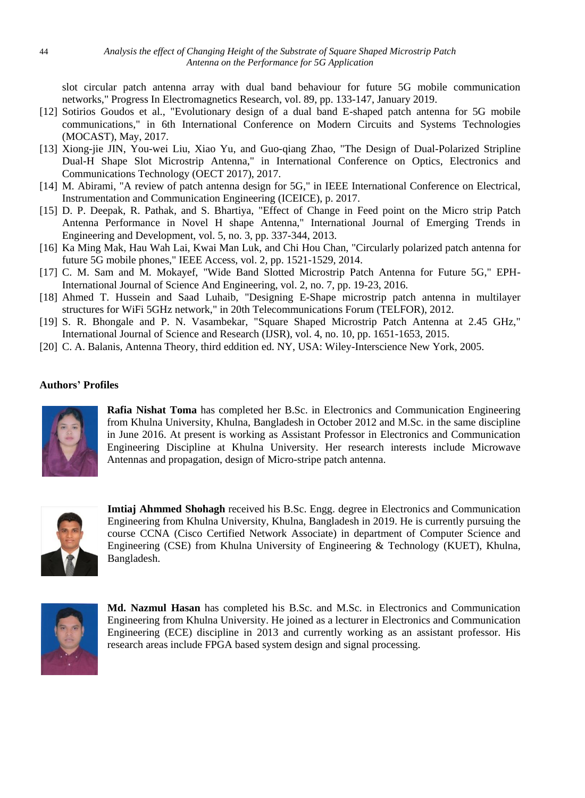slot circular patch antenna array with dual band behaviour for future 5G mobile communication networks," Progress In Electromagnetics Research, vol. 89, pp. 133-147, January 2019.

- [12] Sotirios Goudos et al., "Evolutionary design of a dual band E-shaped patch antenna for 5G mobile communications," in 6th International Conference on Modern Circuits and Systems Technologies (MOCAST), May, 2017.
- [13] Xiong-jie JIN, You-wei Liu, Xiao Yu, and Guo-qiang Zhao, "The Design of Dual-Polarized Stripline Dual-H Shape Slot Microstrip Antenna," in International Conference on Optics, Electronics and Communications Technology (OECT 2017), 2017.
- [14] M. Abirami, "A review of patch antenna design for 5G," in IEEE International Conference on Electrical, Instrumentation and Communication Engineering (ICEICE), p. 2017.
- [15] D. P. Deepak, R. Pathak, and S. Bhartiya, "Effect of Change in Feed point on the Micro strip Patch Antenna Performance in Novel H shape Antenna," International Journal of Emerging Trends in Engineering and Development, vol. 5, no. 3, pp. 337-344, 2013.
- [16] Ka Ming Mak, Hau Wah Lai, Kwai Man Luk, and Chi Hou Chan, "Circularly polarized patch antenna for future 5G mobile phones," IEEE Access, vol. 2, pp. 1521-1529, 2014.
- [17] C. M. Sam and M. Mokayef, "Wide Band Slotted Microstrip Patch Antenna for Future 5G," EPH-International Journal of Science And Engineering, vol. 2, no. 7, pp. 19-23, 2016.
- [18] Ahmed T. Hussein and Saad Luhaib, "Designing E-Shape microstrip patch antenna in multilayer structures for WiFi 5GHz network," in 20th Telecommunications Forum (TELFOR), 2012.
- [19] S. R. Bhongale and P. N. Vasambekar, "Square Shaped Microstrip Patch Antenna at 2.45 GHz," International Journal of Science and Research (IJSR), vol. 4, no. 10, pp. 1651-1653, 2015.
- [20] C. A. Balanis, Antenna Theory, third eddition ed. NY, USA: Wiley-Interscience New York, 2005.

## **Authors' Profiles**



**Rafia Nishat Toma** has completed her B.Sc. in Electronics and Communication Engineering from Khulna University, Khulna, Bangladesh in October 2012 and M.Sc. in the same discipline in June 2016. At present is working as Assistant Professor in Electronics and Communication Engineering Discipline at Khulna University. Her research interests include Microwave Antennas and propagation, design of Micro-stripe patch antenna.



**Imtiaj Ahmmed Shohagh** received his B.Sc. Engg. degree in Electronics and Communication Engineering from Khulna University, Khulna, Bangladesh in 2019. He is currently pursuing the course CCNA (Cisco Certified Network Associate) in department of Computer Science and Engineering (CSE) from Khulna University of Engineering & Technology (KUET), Khulna, Bangladesh.



**Md. Nazmul Hasan** has completed his B.Sc. and M.Sc. in Electronics and Communication Engineering from Khulna University. He joined as a lecturer in Electronics and Communication Engineering (ECE) discipline in 2013 and currently working as an assistant professor. His research areas include FPGA based system design and signal processing.